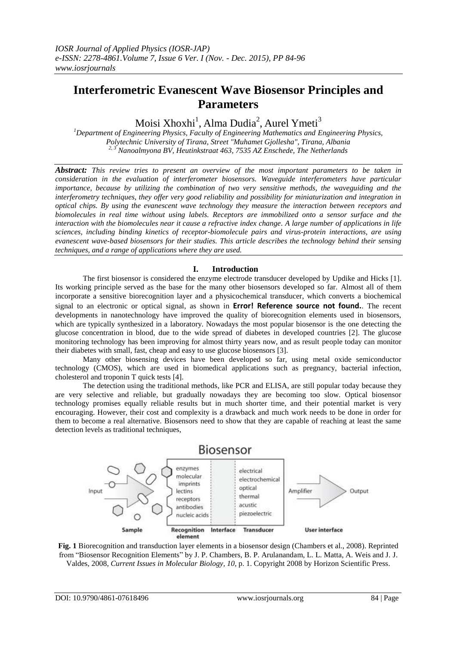# **Interferometric Evanescent Wave Biosensor Principles and Parameters**

Moisi Xhoxhi<sup>1</sup>, Alma Dudia<sup>2</sup>, Aurel Ymeti<sup>3</sup>

*<sup>1</sup>Department of Engineering Physics, Faculty of Engineering Mathematics and Engineering Physics, Polytechnic University of Tirana, Street "Muhamet Gjollesha", Tirana, Albania 2, 3 Nanoalmyona BV, Heutinkstraat 463, 7535 AZ Enschede, The Netherlands*

*Abstract: This review tries to present an overview of the most important parameters to be taken in consideration in the evaluation of interferometer biosensors. Waveguide interferometers have particular importance, because by utilizing the combination of two very sensitive methods, the waveguiding and the interferometry techniques, they offer very good reliability and possibility for miniaturization and integration in optical chips. By using the evanescent wave technology they measure the interaction between receptors and biomolecules in real time without using labels. Receptors are immobilized onto a sensor surface and the interaction with the biomolecules near it cause a refractive index change. A large number of applications in life sciences, including binding kinetics of receptor-biomolecule pairs and virus-protein interactions, are using evanescent wave-based biosensors for their studies. This article describes the technology behind their sensing techniques, and a range of applications where they are used.*

## **I. Introduction**

The first biosensor is considered the enzyme electrode transducer developed by [Updike and Hicks \[1\].](#page-11-0) Its working principle served as the base for the many other biosensors developed so far. Almost all of them incorporate a sensitive biorecognition layer and a physicochemical transducer, which converts a biochemical signal to an electronic or optical signal, as shown in **Error! Reference source not found.**. The recent developments in nanotechnology have improved the quality of biorecognition elements used in biosensors, which are typically synthesized in a laboratory. Nowadays the most popular biosensor is the one detecting the glucose concentration in blood, due to the wide spread of diabetes in developed countries [\[2\]](#page-11-1). The glucose monitoring technology has been improving for almost thirty years now, and as result people today can monitor their diabetes with small, fast, cheap and easy to use glucose biosensors [\[3\]](#page-11-2).

Many other biosensing devices have been developed so far, using metal oxide semiconductor technology (CMOS), which are used in biomedical applications such as pregnancy, bacterial infection, cholesterol and troponin T quick tests [\[4\]](#page-11-3).

The detection using the traditional methods, like PCR and ELISA, are still popular today because they are very selective and reliable, but gradually nowadays they are becoming too slow. Optical biosensor technology promises equally reliable results but in much shorter time, and their potential market is very encouraging. However, their cost and complexity is a drawback and much work needs to be done in order for them to become a real alternative. Biosensors need to show that they are capable of reaching at least the same detection levels as traditional techniques,



**Fig. 1** Biorecognition and transduction layer elements in a biosensor design (Chambers et al., 2008). Reprinted from "Biosensor Recognition Elements" by J. P. Chambers, B. P. Arulanandam, L. L. Matta, A. Weis and J. J. Valdes, 2008, *Current Issues in Molecular Biology, 10*, p. 1. Copyright 2008 by Horizon Scientific Press.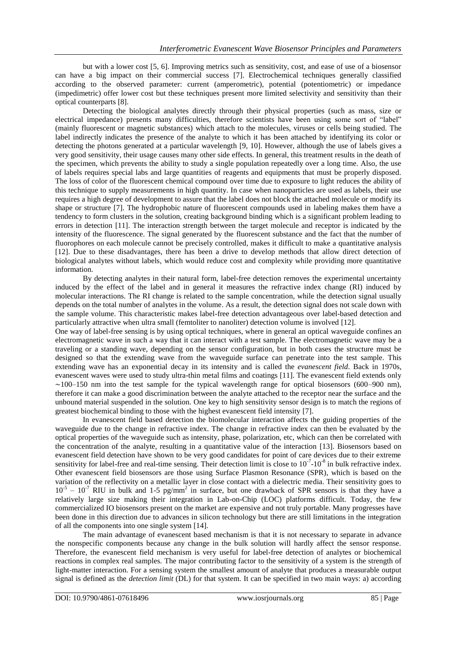but with a lower cost [\[5,](#page-11-4) [6\]](#page-11-5). Improving metrics such as sensitivity, cost, and ease of use of a biosensor can have a big impact on their commercial success [\[7\]](#page-11-6). Electrochemical techniques generally classified according to the observed parameter: current (amperometric), potential (potentiometric) or impedance (impedimetric) offer lower cost but these techniques present more limited selectivity and sensitivity than their optical counterparts [\[8\]](#page-11-7).

Detecting the biological analytes directly through their physical properties (such as mass, size or electrical impedance) presents many difficulties, therefore scientists have been using some sort of "label" (mainly fluorescent or magnetic substances) which attach to the molecules, viruses or cells being studied. The label indirectly indicates the presence of the analyte to which it has been attached by identifying its color or detecting the photons generated at a particular wavelength [\[9,](#page-11-8) [10\]](#page-11-9). However, although the use of labels gives a very good sensitivity, their usage causes many other side effects. In general, this treatment results in the death of the specimen, which prevents the ability to study a single population repeatedly over a long time. Also, the use of labels requires special labs and large quantities of reagents and equipments that must be properly disposed. The loss of color of the fluorescent chemical compound over time due to exposure to light reduces the ability of this technique to supply measurements in high quantity. In case when nanoparticles are used as labels, their use requires a high degree of development to assure that the label does not block the attached molecule or modify its shape or structure [\[7\]](#page-11-6). The hydrophobic nature of fluorescent compounds used in labeling makes them have a tendency to form clusters in the solution, creating background binding which is a significant problem leading to errors in detection [\[11\]](#page-11-10). The interaction strength between the target molecule and receptor is indicated by the intensity of the fluorescence. The signal generated by the fluorescent substance and the fact that the number of fluorophores on each molecule cannot be precisely controlled, makes it difficult to make a quantitative analysis [\[12\]](#page-11-11). Due to these disadvantages, there has been a drive to develop methods that allow direct detection of biological analytes without labels, which would reduce cost and complexity while providing more quantitative information.

By detecting analytes in their natural form, label-free detection removes the experimental uncertainty induced by the effect of the label and in general it measures the refractive index change (RI) induced by molecular interactions. The RI change is related to the sample concentration, while the detection signal usually depends on the total number of analytes in the volume. As a result, the detection signal does not scale down with the sample volume. This characteristic makes label-free detection advantageous over label-based detection and particularly attractive when ultra small (femtoliter to nanoliter) detection volume is involved [\[12\]](#page-11-11).

One way of label-free sensing is by using optical techniques, where in general an optical waveguide confines an electromagnetic wave in such a way that it can interact with a test sample. The electromagnetic wave may be a traveling or a standing wave, depending on the sensor configuration, but in both cases the structure must be designed so that the extending wave from the waveguide surface can penetrate into the test sample. This extending wave has an exponential decay in its intensity and is called the *evanescent field*. Back in 1970s, evanescent waves were used to study ultra-thin metal films and coatings [\[11\]](#page-11-10). The evanescent field extends only  $\sim$ 100–150 nm into the test sample for the typical wavelength range for optical biosensors (600–900 nm), therefore it can make a good discrimination between the analyte attached to the receptor near the surface and the unbound material suspended in the solution. One key to high sensitivity sensor design is to match the regions of greatest biochemical binding to those with the highest evanescent field intensity [\[7\]](#page-11-6).

In evanescent field based detection the biomolecular interaction affects the guiding properties of the waveguide due to the change in refractive index. The change in refractive index can then be evaluated by the optical properties of the waveguide such as intensity, phase, polarization, etc, which can then be correlated with the concentration of the analyte, resulting in a quantitative value of the interaction [\[13\]](#page-11-12). Biosensors based on evanescent field detection have shown to be very good candidates for point of care devices due to their extreme sensitivity for label-free and real-time sensing. Their detection limit is close to  $10^{-7}$ - $10^{-8}$  in bulk refractive index. Other evanescent field biosensors are those using Surface Plasmon Resonance (SPR), which is based on the variation of the reflectivity on a metallic layer in close contact with a dielectric media. Their sensitivity goes to  $10^{-5} - 10^{-7}$  RIU in bulk and 1-5 pg/mm<sup>2</sup> in surface, but one drawback of SPR sensors is that they have a relatively large size making their integration in Lab-on-Chip (LOC) platforms difficult. Today, the few commercialized IO biosensors present on the market are expensive and not truly portable. Many progresses have been done in this direction due to advances in silicon technology but there are still limitations in the integration of all the components into one single system [\[14\]](#page-11-13).

The main advantage of evanescent based mechanism is that it is not necessary to separate in advance the nonspecific components because any change in the bulk solution will hardly affect the sensor response. Therefore, the evanescent field mechanism is very useful for label-free detection of analytes or biochemical reactions in complex real samples. The major contributing factor to the sensitivity of a system is the strength of light-matter interaction. For a sensing system the smallest amount of analyte that produces a measurable output signal is defined as the *detection limit* (DL) for that system. It can be specified in two main ways: a) according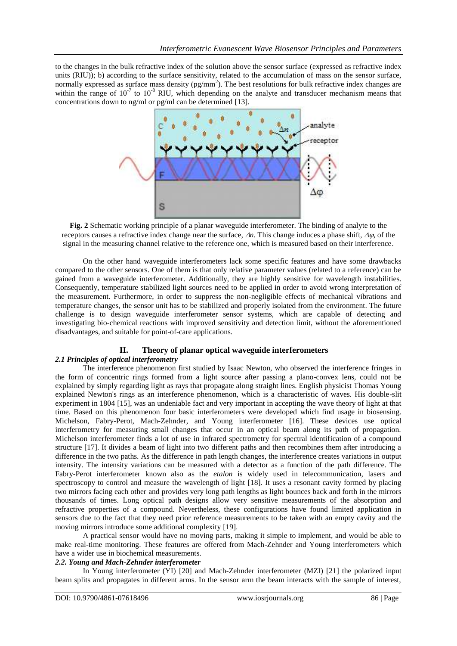to the changes in the bulk refractive index of the solution above the sensor surface (expressed as refractive index units (RIU)); b) according to the surface sensitivity, related to the accumulation of mass on the sensor surface, normally expressed as surface mass density  $(pg/mm^2)$ . The best resolutions for bulk refractive index changes are within the range of  $10^{-7}$  to  $10^{-8}$  RIU, which depending on the analyte and transducer mechanism means that concentrations down to ng/ml or pg/ml can be determined [\[13\]](#page-11-12).



**Fig. 2** Schematic working principle of a planar waveguide interferometer. The binding of analyte to the receptors causes a refractive index change near the surface,  $\Delta n$ . This change induces a phase shift,  $\Delta \varphi$ , of the signal in the measuring channel relative to the reference one, which is measured based on their interference.

On the other hand waveguide interferometers lack some specific features and have some drawbacks compared to the other sensors. One of them is that only relative parameter values (related to a reference) can be gained from a waveguide interferometer. Additionally, they are highly sensitive for wavelength instabilities. Consequently, temperature stabilized light sources need to be applied in order to avoid wrong interpretation of the measurement. Furthermore, in order to suppress the non-negligible effects of mechanical vibrations and temperature changes, the sensor unit has to be stabilized and properly isolated from the environment. The future challenge is to design waveguide interferometer sensor systems, which are capable of detecting and investigating bio-chemical reactions with improved sensitivity and detection limit, without the aforementioned disadvantages, and suitable for point-of-care applications.

# **II. Theory of planar optical waveguide interferometers**

## *2.1 Principles of optical interferometry*

The interference phenomenon first studied by Isaac Newton, who observed the interference fringes in the form of concentric rings formed from a light source after passing a plano-convex lens, could not be explained by simply regarding light as rays that propagate along straight lines. English physicist Thomas Young explained Newton's rings as an interference phenomenon, which is a characteristic of waves. His double-slit experiment in 1804 [\[15\]](#page-11-14), was an undeniable fact and very important in accepting the wave theory of light at that time. Based on this phenomenon four basic interferometers were developed which find usage in biosensing. Michelson, Fabry-Perot, Mach-Zehnder, and Young interferometer [\[16\]](#page-11-15). These devices use optical interferometry for measuring small changes that occur in an optical beam along its path of propagation. Michelson interferometer finds a lot of use in infrared spectrometry for spectral identification of a compound structure [\[17\]](#page-11-16). It divides a beam of light into two different paths and then recombines them after introducing a difference in the two paths. As the difference in path length changes, the interference creates variations in output intensity. The intensity variations can be measured with a detector as a function of the path difference. The Fabry-Perot interferometer known also as the *etalon* is widely used in telecommunication, lasers and spectroscopy to control and measure the wavelength of light [\[18\]](#page-11-17). It uses a resonant cavity formed by placing two mirrors facing each other and provides very long path lengths as light bounces back and forth in the mirrors thousands of times. Long optical path designs allow very sensitive measurements of the absorption and refractive properties of a compound. Nevertheless, these configurations have found limited application in sensors due to the fact that they need prior reference measurements to be taken with an empty cavity and the moving mirrors introduce some additional complexity [\[19\]](#page-11-18).

A practical sensor would have no moving parts, making it simple to implement, and would be able to make real-time monitoring. These features are offered from Mach-Zehnder and Young interferometers which have a wider use in biochemical measurements.

## *2.2. Young and Mach-Zehnder interferometer*

In Young interferometer (YI) [\[20\]](#page-11-19) and Mach-Zehnder interferometer (MZI) [\[21\]](#page-11-20) the polarized input beam splits and propagates in different arms. In the sensor arm the beam interacts with the sample of interest,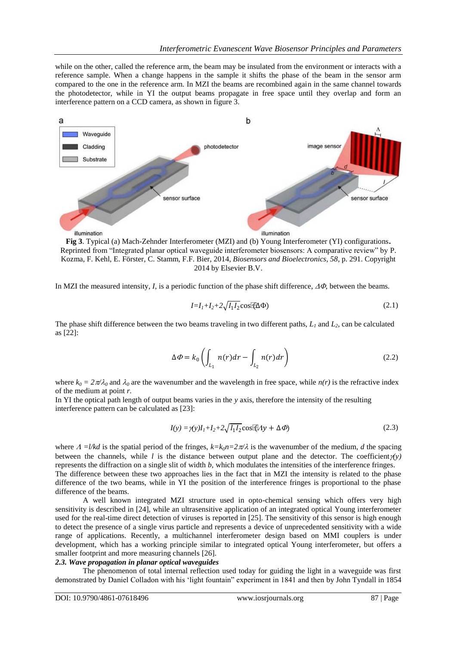while on the other, called the reference arm, the beam may be insulated from the environment or interacts with a reference sample. When a change happens in the sample it shifts the phase of the beam in the sensor arm compared to the one in the reference arm. In MZI the beams are recombined again in the same channel towards the photodetector, while in YI the output beams propagate in free space until they overlap and form an interference pattern on a CCD camera, as shown in figure 3.



**Fig 3**. Typical (a) Mach-Zehnder Interferometer (MZI) and (b) Young Interferometer (YI) configurations**.** Reprinted from "Integrated planar optical waveguide interferometer biosensors: A comparative review" by P. Kozma, F. Kehl, E. Förster, C. Stamm, F.F. Bier, 2014, *Biosensors and Bioelectronics, 58*, p. 291. Copyright 2014 by Elsevier B.V.

In MZI the measured intensity, *I*, is a periodic function of the phase shift difference,  $\Delta \Phi$ , between the beams.

$$
I = I_1 + I_2 + 2\sqrt{I_1 I_2} \cos(\theta \Delta \Phi)
$$
 (2.1)

The phase shift difference between the two beams traveling in two different paths,  $L_1$  and  $L_2$ , can be calculated as [\[22\]](#page-11-21):

$$
\Delta \Phi = k_0 \left( \int_{L_1} n(r) dr - \int_{L_2} n(r) dr \right) \tag{2.2}
$$

where  $k_0 = 2\pi/\lambda_0$  and  $\lambda_0$  are the wavenumber and the wavelength in free space, while  $n(r)$  is the refractive index of the medium at point *r.*

In YI the optical path length of output beams varies in the *y* axis, therefore the intensity of the resulting interference pattern can be calculated as [\[23\]](#page-11-22):

$$
I(y) = \gamma(y)I_1 + I_2 + 2\sqrt{I_1 I_2} \cos(\lambda y) + \Delta \phi
$$
\n(2.3)

where  $A = l/kd$  is the spatial period of the fringes,  $k=k_0n=2\pi/\lambda$  is the wavenumber of the medium, *d* the spacing between the channels, while *l* is the distance between output plane and the detector. The coefficient  $\gamma(y)$ represents the diffraction on a single slit of width *b,* which modulates the intensities of the interference fringes. The difference between these two approaches lies in the fact that in MZI the intensity is related to the phase difference of the two beams, while in YI the position of the interference fringes is proportional to the phase difference of the beams.

A well known integrated MZI structure used in opto-chemical sensing which offers very high sensitivity is described in [\[24\]](#page-11-23), while an ultrasensitive application of an integrated optical Young interferometer used for the real-time direct detection of viruses is reported in [\[25\]](#page-11-24). The sensitivity of this sensor is high enough to detect the presence of a single virus particle and represents a device of unprecedented sensitivity with a wide range of applications. Recently, a multichannel interferometer design based on MMI couplers is under development, which has a working principle similar to integrated optical Young interferometer, but offers a smaller footprint and more measuring channels [\[26\]](#page-11-25).

## *2.3. Wave propagation in planar optical waveguides*

The phenomenon of total internal reflection used today for guiding the light in a waveguide was first demonstrated by Daniel Colladon with his "light fountain" experiment in 1841 and then by John Tyndall in 1854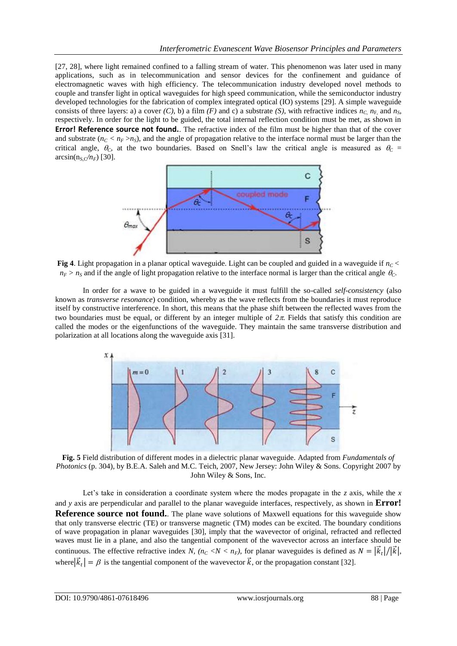[\[27,](#page-11-26) [28\]](#page-11-27), where light remained confined to a falling stream of water. This phenomenon was later used in many applications, such as in telecommunication and sensor devices for the confinement and guidance of electromagnetic waves with high efficiency. The telecommunication industry developed novel methods to couple and transfer light in optical waveguides for high speed communication, while the semiconductor industry developed technologies for the fabrication of complex integrated optical (IO) systems [\[29\]](#page-11-28). A simple waveguide consists of three layers: a) a cover *(C)*, b) a film *(F)* and c) a substrate *(S)*, with refractive indices  $n_c$ ,  $n_F$ , and  $n_S$ respectively. In order for the light to be guided, the total internal reflection condition must be met, as shown in **Error! Reference source not found.**. The refractive index of the film must be higher than that of the cover and substrate  $(n_C < n_F > n_S)$ , and the angle of propagation relative to the interface normal must be larger than the critical angle,  $\theta_c$  at the two boundaries. Based on Snell's law the critical angle is measured as  $\theta_c$  =  $\arcsin(n_s \sqrt{n_F})$  [\[30\]](#page-11-29).



**Fig 4**. Light propagation in a planar optical waveguide. Light can be coupled and guided in a waveguide if *nC <*   $n_F > n_S$  and if the angle of light propagation relative to the interface normal is larger than the critical angle  $\theta_C$ .

In order for a wave to be guided in a waveguide it must fulfill the so-called *self-consistency* (also known as *transverse resonance*) condition, whereby as the wave reflects from the boundaries it must reproduce itself by constructive interference. In short, this means that the phase shift between the reflected waves from the two boundaries must be equal, or different by an integer multiple of  $2\pi$ . Fields that satisfy this condition are called the modes or the eigenfunctions of the waveguide. They maintain the same transverse distribution and polarization at all locations along the waveguide axis [\[31\]](#page-11-30).



**Fig. 5** Field distribution of different modes in a dielectric planar waveguide. Adapted from *Fundamentals of Photonics* (p. 304), by B.E.A. Saleh and M.C. Teich, 2007, New Jersey: John Wiley & Sons. Copyright 2007 by John Wiley & Sons, Inc.

Let's take in consideration a coordinate system where the modes propagate in the *z* axis, while the *x* and *y* axis are perpendicular and parallel to the planar waveguide interfaces, respectively, as shown in **Error! Reference source not found.** The plane wave solutions of Maxwell equations for this waveguide show that only transverse electric (TE) or transverse magnetic (TM) modes can be excited. The boundary conditions of wave propagation in planar waveguides [\[30\]](#page-11-29), imply that the wavevector of original, refracted and reflected waves must lie in a plane, and also the tangential component of the wavevector across an interface should be continuous. The effective refractive index *N,*  $(n_C \lt N \lt n_F)$ , for planar waveguides is defined as  $N = |\vec{k}_t|/|\vec{k}|$ , where  $|\vec{k}_t| = \beta$  is the tangential component of the wavevector  $\vec{k}$ , or the propagation constant [\[32\]](#page-11-31).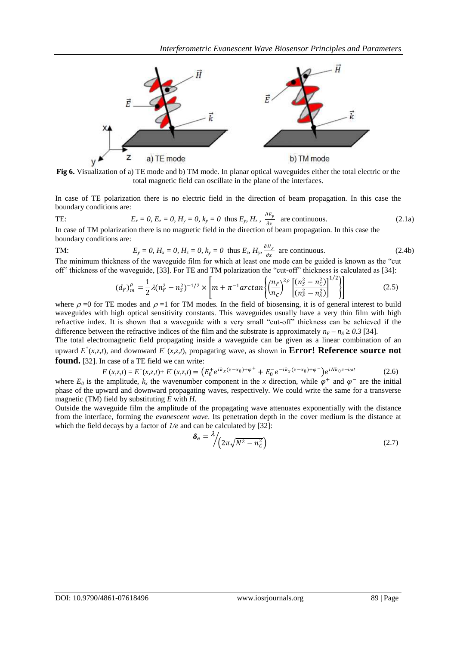

**Fig 6.** Visualization of a) TE mode and b) TM mode. In planar optical waveguides either the total electric or the total magnetic field can oscillate in the plane of the interfaces.

In case of TE polarization there is no electric field in the direction of beam propagation. In this case the boundary conditions are:

TE: 
$$
E_x = 0
$$
,  $E_z = 0$ ,  $H_y = 0$ ,  $k_y = 0$  thus  $E_y$ ,  $H_z$ ,  $\frac{\partial E_y}{\partial x}$  are continuous.  
In case of TM polarization there is no magnetic field in the direction of beam propagation. In this case the

boundary conditions are:

TM: 
$$
E_y = 0
$$
,  $H_x = 0$ ,  $H_z = 0$ ,  $k_y = 0$  thus  $E_z$ ,  $H_y = \frac{\partial H_y}{\partial x}$  are continuous. (2.4b)

The minimum thickness of the waveguide film for which at least one mode can be guided is known as the "cut off" thickness of the waveguide, [\[33\]](#page-11-32). For TE and TM polarization the "cut-off" thickness is calculated as [\[34\]](#page-12-0):

$$
(d_F)_{m}^{\rho} = \frac{1}{2} \lambda (n_F^2 - n_S^2)^{-1/2} \times \left[ m + \pi^{-1} \arctan \left\{ \left( \frac{n_F}{n_C} \right)^{2\rho} \left[ \frac{(n_S^2 - n_C^2)}{(n_F^2 - n_S^2)} \right]^{1/2} \right\} \right] \tag{2.5}
$$

where  $\rho = 0$  for TE modes and  $\rho =1$  for TM modes. In the field of biosensing, it is of general interest to build waveguides with high optical sensitivity constants. This waveguides usually have a very thin film with high refractive index*.* It is shown that a waveguide with a very small "cut-off" thickness can be achieved if the difference between the refractive indices of the film and the substrate is approximately  $n_F - n_S \ge 0.3$  [\[34\]](#page-12-0).

The total electromagnetic field propagating inside a waveguide can be given as a linear combination of an upward  $E^+(x, z, t)$ , and downward  $E^-(x, z, t)$ , propagating wave, as shown in **Error! Reference source not found.** [\[32\]](#page-11-31). In case of a TE field we can write:

$$
E(x, z, t) = E^{+}(x, z, t) + E^{-(x, z, t)} = (E_0^{+} e^{ik_x(x - x_0) + \varphi^{+}} + E_0^{-} e^{-ik_x(x - x_0) + \varphi^{-}}) e^{iNk_0 z - i\omega t}
$$
(2.6)

where  $E_0$  is the amplitude,  $k_x$  the wavenumber component in the *x* direction, while  $\varphi^+$  and  $\varphi^-$  are the initial phase of the upward and downward propagating waves, respectively. We could write the same for a transverse magnetic (TM) field by substituting *E* with *H*.

Outside the waveguide film the amplitude of the propagating wave attenuates exponentially with the distance from the interface, forming the *evanescent wave*. Its penetration depth in the cover medium is the distance at which the field decays by a factor of  $1/e$  and can be calculated by [\[32\]](#page-11-31):

$$
\delta_e = \frac{\lambda}{2\pi\sqrt{N^2 - n_c^2}} \tag{2.7}
$$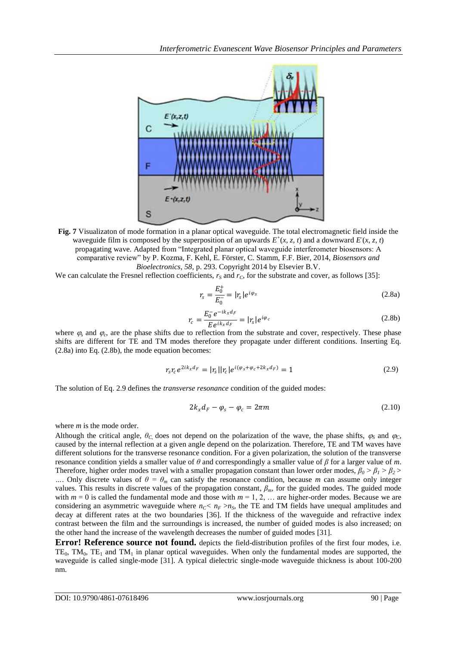

**Fig. 7** Visualizaton of mode formation in a planar optical waveguide. The total electromagnetic field inside the waveguide film is composed by the superposition of an upwards  $E^+(x, z, t)$  and a downward  $E(x, z, t)$ propagating wave. Adapted from "Integrated planar optical waveguide interferometer biosensors: A comparative review" by P. Kozma, F. Kehl, E. Förster, C. Stamm, F.F. Bier, 2014, *Biosensors and Bioelectronics, 58*, p. 293. Copyright 2014 by Elsevier B.V.

We can calculate the Fresnel reflection coefficients,  $r<sub>S</sub>$  and  $r<sub>C</sub>$ , for the substrate and cover, as follows [\[35\]](#page-12-1):

$$
r_s = \frac{E_0^+}{E_0^-} = |r_s| e^{i\varphi_s}
$$
 (2.8a)

$$
r_c = \frac{E_0^- e^{-ik_x d_F}}{E e^{ik_x d_F}} = |r_s| e^{i\varphi_c}
$$
 (2.8b)

where  $\varphi_s$  and  $\varphi_c$ , are the phase shifts due to reflection from the substrate and cover, respectively. These phase shifts are different for TE and TM modes therefore they propagate under different conditions. Inserting Eq. (2.8a) into Eq. (2.8b), the mode equation becomes:

$$
r_{s}r_{c}e^{2ik_{x}d_{F}} = |r_{s}||r_{c}|e^{i(\varphi_{s} + \varphi_{c} + 2k_{x}d_{F})} = 1
$$
\n(2.9)

The solution of Eq. 2.9 defines the *transverse resonance* condition of the guided modes:

$$
2k_x d_F - \varphi_s - \varphi_c = 2\pi m \tag{2.10}
$$

where *m* is the mode order.

Although the critical angle,  $\theta_c$  does not depend on the polarization of the wave, the phase shifts,  $\varphi_s$  and  $\varphi_c$ caused by the internal reflection at a given angle depend on the polarization. Therefore, TE and TM waves have different solutions for the transverse resonance condition. For a given polarization, the solution of the transverse resonance condition yields a smaller value of *θ* and correspondingly a smaller value of *β* for a larger value of *m*. Therefore, higher order modes travel with a smaller propagation constant than lower order modes,  $\beta_0 > \beta_1 > \beta_2$ *…*. Only discrete values of  $\theta = \theta_m$  can satisfy the resonance condition, because *m* can assume only integer values. This results in discrete values of the propagation constant, *βm,* for the guided modes. The guided mode with  $m = 0$  is called the fundamental mode and those with  $m = 1, 2, \ldots$  are higher-order modes. Because we are considering an asymmetric waveguide where  $n_C$ <sup>*C*</sup>  $n_F$  > $n_S$ , the TE and TM fields have unequal amplitudes and decay at different rates at the two boundaries [\[36\]](#page-12-2). If the thickness of the waveguide and refractive index contrast between the film and the surroundings is increased, the number of guided modes is also increased; on the other hand the increase of the wavelength decreases the number of guided modes [\[31\]](#page-11-30).

**Error! Reference source not found.** depicts the field-distribution profiles of the first four modes, i.e. TE<sub>0</sub>, TM<sub>0</sub>, TE<sub>1</sub> and TM<sub>1</sub> in planar optical waveguides. When only the fundamental modes are supported, the waveguide is called single-mode [\[31\]](#page-11-30). A typical dielectric single-mode waveguide thickness is about 100-200 nm.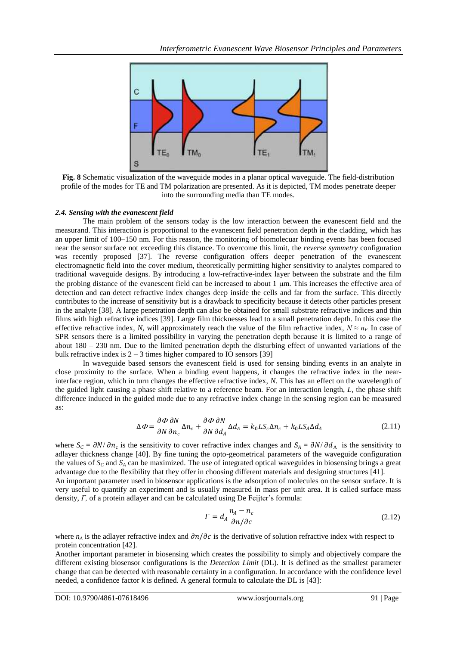

**Fig. 8** Schematic visualization of the waveguide modes in a planar optical waveguide. The field-distribution profile of the modes for TE and TM polarization are presented. As it is depicted, TM modes penetrate deeper into the surrounding media than TE modes.

### *2.4. Sensing with the evanescent field*

The main problem of the sensors today is the low interaction between the evanescent field and the measurand. This interaction is proportional to the evanescent field penetration depth in the cladding, which has an upper limit of 100–150 nm. For this reason, the monitoring of biomolecuar binding events has been focused near the sensor surface not exceeding this distance. To overcome this limit, the *reverse symmetry* configuration was recently proposed [\[37\]](#page-12-3). The reverse configuration offers deeper penetration of the evanescent electromagnetic field into the cover medium, theoretically permitting higher sensitivity to analytes compared to traditional waveguide designs. By introducing a low-refractive-index layer between the substrate and the film the probing distance of the evanescent field can be increased to about  $1 \mu m$ . This increases the effective area of detection and can detect refractive index changes deep inside the cells and far from the surface. This directly contributes to the increase of sensitivity but is a drawback to specificity because it detects other particles present in the analyte [\[38\]](#page-12-4). A large penetration depth can also be obtained for small substrate refractive indices and thin films with high refractive indices [\[39\]](#page-12-5). Large film thicknesses lead to a small penetration depth. In this case the effective refractive index, *N*, will approximately reach the value of the film refractive index,  $N \approx n_F$ . In case of SPR sensors there is a limited possibility in varying the penetration depth because it is limited to a range of about 180 – 230 nm. Due to the limited penetration depth the disturbing effect of unwanted variations of the bulk refractive index is  $2 - 3$  times higher compared to IO sensors [\[39\]](#page-12-5)

In waveguide based sensors the evanescent field is used for sensing binding events in an analyte in close proximity to the surface. When a binding event happens, it changes the refractive index in the nearinterface region, which in turn changes the effective refractive index, *N*. This has an effect on the wavelength of the guided light causing a phase shift relative to a reference beam. For an interaction length, *L,* the phase shift difference induced in the guided mode due to any refractive index change in the sensing region can be measured as:

$$
\Delta \Phi = \frac{\partial \Phi}{\partial N} \frac{\partial N}{\partial n_c} \Delta n_c + \frac{\partial \Phi}{\partial N} \frac{\partial N}{\partial d_A} \Delta d_A = k_0 L S_c \Delta n_c + k_0 L S_A \Delta d_A \tag{2.11}
$$

where  $S_C = \partial N / \partial n_c$  is the sensitivity to cover refractive index changes and  $S_A = \partial N / \partial d_A$  is the sensitivity to adlayer thickness change [\[40\]](#page-12-6). By fine tuning the opto-geometrical parameters of the waveguide configuration the values of  $S_C$  and  $S_A$  can be maximized. The use of integrated optical waveguides in biosensing brings a great advantage due to the flexibility that they offer in choosing different materials and designing structures [\[41\]](#page-12-7). An important parameter used in biosensor applications is the adsorption of molecules on the sensor surface. It is very useful to quantify an experiment and is usually measured in mass per unit area. It is called surface mass density, *Γ*, of a protein adlayer and can be calculated using De Feijter's formula:

$$
\Gamma = d_A \frac{n_A - n_c}{\partial n / \partial c} \tag{2.12}
$$

where  $n_A$  is the adlayer refractive index and  $\partial n/\partial c$  is the derivative of solution refractive index with respect to protein concentration [\[42\]](#page-12-8).

Another important parameter in biosensing which creates the possibility to simply and objectively compare the different existing biosensor configurations is the *Detection Limit* (DL). It is defined as the smallest parameter change that can be detected with reasonable certainty in a configuration. In accordance with the confidence level needed, a confidence factor *k* is defined. A general formula to calculate the DL is [\[43\]](#page-12-9):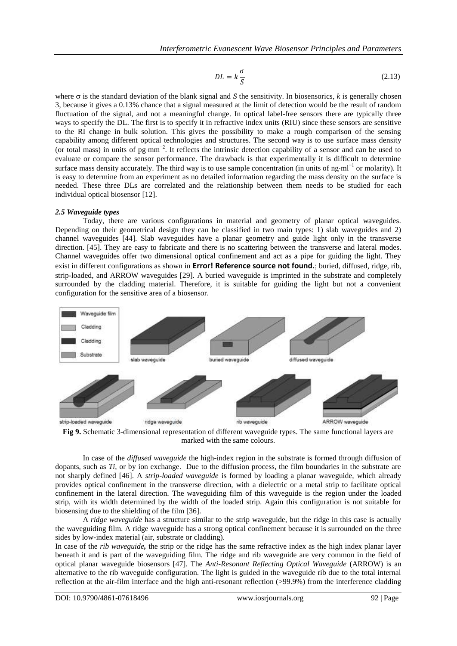$$
DL = k\frac{\sigma}{S} \tag{2.13}
$$

where  $\sigma$  is the standard deviation of the blank signal and *S* the sensitivity. In biosensorics, *k* is generally chosen 3, because it gives a 0.13% chance that a signal measured at the limit of detection would be the result of random fluctuation of the signal, and not a meaningful change. In optical label-free sensors there are typically three ways to specify the DL. The first is to specify it in refractive index units (RIU) since these sensors are sensitive to the RI change in bulk solution. This gives the possibility to make a rough comparison of the sensing capability among different optical technologies and structures. The second way is to use surface mass density (or total mass) in units of  $pg\text{-}mm^{-2}$ . It reflects the intrinsic detection capability of a sensor and can be used to evaluate or compare the sensor performance. The drawback is that experimentally it is difficult to determine surface mass density accurately. The third way is to use sample concentration (in units of ngml<sup>-1</sup> or molarity). It is easy to determine from an experiment as no detailed information regarding the mass density on the surface is needed. These three DLs are correlated and the relationship between them needs to be studied for each individual optical biosensor [\[12\]](#page-11-11).

### *2.5 Waveguide types*

Today, there are various configurations in material and geometry of planar optical waveguides. Depending on their geometrical design they can be classified in two main types: 1) slab waveguides and 2) channel waveguides [\[44\]](#page-12-10). Slab waveguides have a planar geometry and guide light only in the transverse direction. [\[45\]](#page-12-11). They are easy to fabricate and there is no scattering between the transverse and lateral modes. Channel waveguides offer two dimensional optical confinement and act as a pipe for guiding the light. They exist in different configurations as shown in **Error! Reference source not found.**; buried, diffused, ridge, rib, strip-loaded, and ARROW waveguides [\[29\]](#page-11-28). A buried waveguide is imprinted in the substrate and completely surrounded by the cladding material. Therefore, it is suitable for guiding the light but not a convenient configuration for the sensitive area of a biosensor.



**Fig 9.** Schematic 3-dimensional representation of different waveguide types. The same functional layers are marked with the same colours.

In case of the *diffused waveguide* the high-index region in the substrate is formed through diffusion of dopants, such as *Ti*, or by ion exchange. Due to the diffusion process, the film boundaries in the substrate are not sharply defined [\[46\]](#page-12-12). A *strip-loaded waveguide* is formed by loading a planar waveguide, which already provides optical confinement in the transverse direction, with a dielectric or a metal strip to facilitate optical confinement in the lateral direction. The waveguiding film of this waveguide is the region under the loaded strip, with its width determined by the width of the loaded strip. Again this configuration is not suitable for biosensing due to the shielding of the film [\[36\]](#page-12-2).

A *ridge waveguide* has a structure similar to the strip waveguide, but the ridge in this case is actually the waveguiding film. A ridge waveguide has a strong optical confinement because it is surrounded on the three sides by low-index material (air, substrate or cladding).

In case of the *rib waveguide,* the strip or the ridge has the same refractive index as the high index planar layer beneath it and is part of the waveguiding film. The ridge and rib waveguide are very common in the field of optical planar waveguide biosensors [\[47\]](#page-12-13). The *Anti-Resonant Reflecting Optical Waveguide* (ARROW) is an alternative to the rib waveguide configuration. The light is guided in the waveguide rib due to the total internal reflection at the air-film interface and the high anti-resonant reflection (>99.9%) from the interference cladding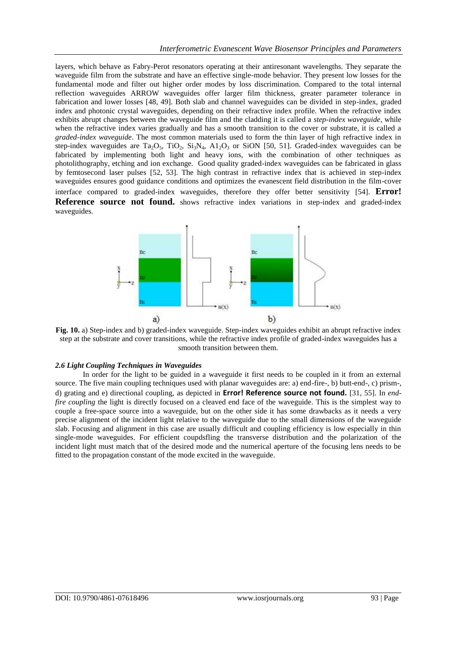layers, which behave as Fabry-Perot resonators operating at their antiresonant wavelengths. They separate the waveguide film from the substrate and have an effective single-mode behavior. They present low losses for the fundamental mode and filter out higher order modes by loss discrimination. Compared to the total internal reflection waveguides ARROW waveguides offer larger film thickness, greater parameter tolerance in fabrication and lower losses [\[48,](#page-12-14) [49\]](#page-12-15). Both slab and channel waveguides can be divided in step-index, graded index and photonic crystal waveguides, depending on their refractive index profile. When the refractive index exhibits abrupt changes between the waveguide film and the cladding it is called a *step-index waveguide*, while when the refractive index varies gradually and has a smooth transition to the cover or substrate, it is called a *graded-index waveguide*. The most common materials used to form the thin layer of high refractive index in step-index waveguides are Ta<sub>2</sub>O<sub>5</sub>, TiO<sub>2</sub>, Si<sub>3</sub>N<sub>4</sub>, A<sub>1<sub>2</sub>O<sub>3</sub> or SiON [\[50,](#page-12-16) [51\]](#page-12-17). Graded-index waveguides can be</sub> fabricated by implementing both light and heavy ions, with the combination of other techniques as photolithography, etching and ion exchange. Good quality graded-index waveguides can be fabricated in glass by femtosecond laser pulses [\[52,](#page-12-18) [53\]](#page-12-19). The high contrast in refractive index that is achieved in step-index waveguides ensures good guidance conditions and optimizes the evanescent field distribution in the film-cover interface compared to graded-index waveguides, therefore they offer better sensitivity [\[54\]](#page-12-20). **Error! Reference source not found.** shows refractive index variations in step-index and graded-index waveguides.





### *2.6 Light Coupling Techniques in Waveguides*

In order for the light to be guided in a waveguide it first needs to be coupled in it from an external source. The five main coupling techniques used with planar waveguides are: a) end-fire-, b) butt-end-, c) prism-, d) grating and e) directional coupling, as depicted in **Error! Reference source not found.** [\[31,](#page-11-30) [55\]](#page-12-21). In *endfire coupling* the light is directly focused on a cleaved end face of the waveguide. This is the simplest way to couple a free-space source into a waveguide, but on the other side it has some drawbacks as it needs a very precise alignment of the incident light relative to the waveguide due to the small dimensions of the waveguide slab. Focusing and alignment in this case are usually difficult and coupling efficiency is low especially in thin single-mode waveguides. For efficient coupdsfling the transverse distribution and the polarization of the incident light must match that of the desired mode and the numerical aperture of the focusing lens needs to be fitted to the propagation constant of the mode excited in the waveguide.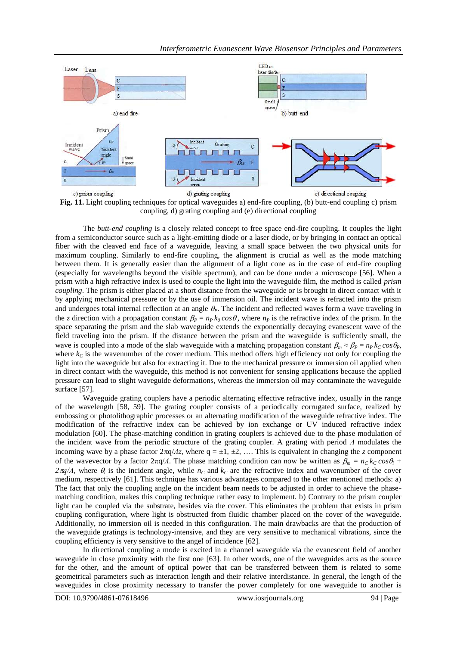

**Fig. 11.** Light coupling techniques for optical waveguides a) end-fire coupling, (b) butt-end coupling c) prism coupling, d) grating coupling and (e) directional coupling

The *butt-end coupling* is a closely related concept to free space end-fire coupling. It couples the light from a semiconductor source such as a light-emitting diode or a laser diode, or by bringing in contact an optical fiber with the cleaved end face of a waveguide, leaving a small space between the two physical units for maximum coupling. Similarly to end-fire coupling, the alignment is crucial as well as the mode matching between them. It is generally easier than the alignment of a light cone as in the case of end-fire coupling (especially for wavelengths beyond the visible spectrum), and can be done under a microscope [\[56\]](#page-12-22). When a prism with a high refractive index is used to couple the light into the waveguide film, the method is called *prism coupling*. The prism is either placed at a short distance from the waveguide or is brought in direct contact with it by applying mechanical pressure or by the use of immersion oil. The incident wave is refracted into the prism and undergoes total internal reflection at an angle  $\theta_p$ . The incident and reflected waves form a wave traveling in the *z* direction with a propagation constant  $\beta_P = n_P k_Q \cos \theta$ , where  $n_P$  is the refractive index of the prism. In the space separating the prism and the slab waveguide extends the exponentially decaying evanescent wave of the field traveling into the prism. If the distance between the prism and the waveguide is sufficiently small, the wave is coupled into a mode of the slab waveguide with a matching propagation constant  $\beta_m \approx \beta_P = n_P k_C \cos \theta_P$ , where  $k<sub>C</sub>$  is the wavenumber of the cover medium. This method offers high efficiency not only for coupling the light into the waveguide but also for extracting it. Due to the mechanical pressure or immersion oil applied when in direct contact with the waveguide, this method is not convenient for sensing applications because the applied pressure can lead to slight waveguide deformations, whereas the immersion oil may contaminate the waveguide surface [\[57\]](#page-12-23).

Waveguide grating couplers have a periodic alternating effective refractive index, usually in the range of the wavelength [\[58,](#page-12-24) [59\]](#page-12-25). The grating coupler consists of a periodically corrugated surface, realized by embossing or photolithographic processes or an alternating modification of the waveguide refractive index. The modification of the refractive index can be achieved by ion exchange or UV induced refractive index modulation [\[60\]](#page-12-26). The phase-matching condition in grating couplers is achieved due to the phase modulation of the incident wave from the periodic structure of the grating coupler. A grating with period *Λ* modulates the incoming wave by a phase factor  $2\pi q / \Lambda z$ , where q = ±1, ±2, .... This is equivalent in changing the *z* component of the wavevector by a factor  $2\pi q/A$ . The phase matching condition can now be written as  $β<sub>m</sub> = n<sub>C</sub> k<sub>C</sub> cos θ<sub>i</sub> +$ *2* $\pi$ *q*/*Λ*, where  $\theta$ <sup>*i*</sup> is the incident angle, while *n<sub>C</sub>* and *k<sub>C</sub>* are the refractive index and wavenumber of the cover medium, respectively [\[61\]](#page-12-27). This technique has various advantages compared to the other mentioned methods: a) The fact that only the coupling angle on the incident beam needs to be adjusted in order to achieve the phasematching condition, makes this coupling technique rather easy to implement. b) Contrary to the prism coupler light can be coupled via the substrate, besides via the cover. This eliminates the problem that exists in prism coupling configuration, where light is obstructed from fluidic chamber placed on the cover of the waveguide. Additionally, no immersion oil is needed in this configuration. The main drawbacks are that the production of the waveguide gratings is technology-intensive, and they are very sensitive to mechanical vibrations, since the coupling efficiency is very sensitive to the angel of incidence [\[62\]](#page-12-28).

In directional coupling a mode is excited in a channel waveguide via the evanescent field of another waveguide in close proximity with the first one [\[63\]](#page-12-29). In other words, one of the waveguides acts as the source for the other, and the amount of optical power that can be transferred between them is related to some geometrical parameters such as interaction length and their relative interdistance. In general, the length of the waveguides in close proximity necessary to transfer the power completely for one waveguide to another is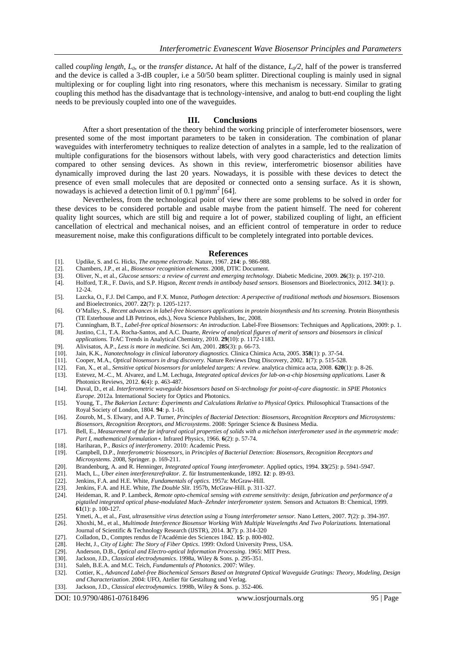called *coupling length,*  $L_0$  or the *transfer distance*. At half of the distance,  $L_0/2$ , half of the power is transferred and the device is called a 3-dB coupler, i.e a 50/50 beam splitter. Directional coupling is mainly used in signal multiplexing or for coupling light into ring resonators, where this mechanism is necessary. Similar to grating coupling this method has the disadvantage that is technology-intensive, and analog to butt-end coupling the light needs to be previously coupled into one of the waveguides.

#### **III. Conclusions**

After a short presentation of the theory behind the working principle of interferometer biosensors, were presented some of the most important parameters to be taken in consideration. The combination of planar waveguides with interferometry techniques to realize detection of analytes in a sample, led to the realization of multiple configurations for the biosensors without labels, with very good characteristics and detection limits compared to other sensing devices. As shown in this review, interferometric biosensor abilities have dynamically improved during the last 20 years. Nowadays, it is possible with these devices to detect the presence of even small molecules that are deposited or connected onto a sensing surface. As it is shown, nowadays is achieved a detection limit of 0.1 pg/mm<sup>2</sup> [\[64\]](#page-12-30).

Nevertheless, from the technological point of view there are some problems to be solved in order for these devices to be considered portable and usable maybe from the patient himself. The need for coherent quality light sources, which are still big and require a lot of power, stabilized coupling of light, an efficient cancellation of electrical and mechanical noises, and an efficient control of temperature in order to reduce measurement noise, make this configurations difficult to be completely integrated into portable devices.

#### **References**

- <span id="page-11-0"></span>[1]. Updike, S. and G. Hicks, *The enzyme electrode.* Nature, 1967. **214**: p. 986-988.
- <span id="page-11-1"></span>[2]. Chambers, J.P., et al., *Biosensor recognition elements*. 2008, DTIC Document.
- <span id="page-11-3"></span>
- <span id="page-11-2"></span>[3]. Oliver, N., et al., *Glucose sensors: a review of current and emerging technology.* Diabetic Medicine, 2009. **26**(3): p. 197-210. [4]. Holford, T.R., F. Davis, and S.P. Higson, *Recent trends in antibody based sensors.* Biosensors and Bioelectronics, 2012. **34**(1): p. 12-24.
- <span id="page-11-4"></span>[5]. Lazcka, O., F.J. Del Campo, and F.X. Munoz, *Pathogen detection: A perspective of traditional methods and biosensors.* Biosensors and Bioelectronics, 2007. **22**(7): p. 1205-1217.
- <span id="page-11-5"></span>[6]. O"Malley, S., *Recent advances in label-free biosensors applications in protein biosynthesis and hts screening.* Protein Biosynthesis (TE Esterhouse and LB Petrinos, eds.), Nova Science Publishers, Inc, 2008.
- <span id="page-11-6"></span>[7]. Cunningham, B.T., *Label-free optical biosensors: An introduction.* Label-Free Biosensors: Techniques and Applications, 2009: p. 1.
- <span id="page-11-7"></span>[8]. Justino, C.I., T.A. Rocha-Santos, and A.C. Duarte, *Review of analytical figures of merit of sensors and biosensors in clinical applications.* TrAC Trends in Analytical Chemistry, 2010. **29**(10): p. 1172-1183.
- <span id="page-11-8"></span>[9]. Alivisatos, A.P., *Less is more in medicine.* Sci Am, 2001. **285**(3): p. 66-73.
- <span id="page-11-9"></span>[10]. Jain, K.K., *Nanotechnology in clinical laboratory diagnostics.* Clinica Chimica Acta, 2005. **358**(1): p. 37-54.
- <span id="page-11-10"></span>[11]. Cooper, M.A., *Optical biosensors in drug discovery.* Nature Reviews Drug Discovery, 2002. **1**(7): p. 515-528.
- <span id="page-11-11"></span>[12]. Fan, X., et al., *Sensitive optical biosensors for unlabeled targets: A review.* analytica chimica acta, 2008. **620**(1): p. 8-26.
- <span id="page-11-12"></span>[13]. Estevez, M.-C., M. Alvarez, and L.M. Lechuga, *Integrated optical devices for lab*‐*on*‐*a*‐*chip biosensing applications.* Laser & Photonics Reviews, 2012. **6**(4): p. 463-487.
- <span id="page-11-13"></span>[14]. Duval, D., et al. *Interferometric waveguide biosensors based on Si-technology for point-of-care diagnostic*. in *SPIE Photonics Europe*. 2012a. International Society for Optics and Photonics.
- <span id="page-11-14"></span>[15]. Young, T., *The Bakerian Lecture: Experiments and Calculations Relative to Physical Optics.* Philosophical Transactions of the Royal Society of London, 1804. **94**: p. 1-16.
- <span id="page-11-15"></span>[16]. Zourob, M., S. Elwary, and A.P. Turner, *Principles of Bacterial Detection: Biosensors, Recognition Receptors and Microsystems: Biosensors, Recognition Receptors, and Microsystems*. 2008: Springer Science & Business Media.
- <span id="page-11-16"></span>[17]. Bell, E., *Measurement of the far infrared optical properties of solids with a michelson interferometer used in the asymmetric mode: Part I, mathematical formulation*∗*.* Infrared Physics, 1966. **6**(2): p. 57-74.
- <span id="page-11-17"></span>[18]. Hariharan, P., *Basics of interferometry*. 2010: Academic Press.
- <span id="page-11-18"></span>[19]. Campbell, D.P., *Interferometric biosensors*, in *Principles of Bacterial Detection: Biosensors, Recognition Receptors and Microsystems*. 2008, Springer. p. 169-211.
- <span id="page-11-19"></span>[20]. Brandenburg, A. and R. Henninger, *Integrated optical Young interferometer.* Applied optics, 1994. **33**(25): p. 5941-5947.
- <span id="page-11-20"></span>[21]. Mach, L., *Uber einen interferenzrefraktor.* Z. für Instrumentenkunde, 1892. **12**: p. 89-93.
- <span id="page-11-21"></span>[22]. Jenkins, F.A. and H.E. White, *Fundamentals of optics*. 1957a: McGraw-Hill.
- <span id="page-11-22"></span>[23]. Jenkins, F.A. and H.E. White, *The Double Slit*. 1957b, McGraw-Hill. p. 311-327.
- <span id="page-11-23"></span>[24]. Heideman, R. and P. Lambeck, *Remote opto-chemical sensing with extreme sensitivity: design, fabrication and performance of a pigtailed integrated optical phase-modulated Mach–Zehnder interferometer system.* Sensors and Actuators B: Chemical, 1999. **61**(1): p. 100-127.
- <span id="page-11-24"></span>[25]. Ymeti, A., et al., *Fast, ultrasensitive virus detection using a Young interferometer sensor.* Nano Letters, 2007. **7**(2): p. 394-397.
- <span id="page-11-25"></span>[26]. Xhoxhi, M., et al., *Multimode Interference Biosensor Working With Multiple Wavelengths And Two Polarizations.* International Journal of Scientific & Technology Research (IJSTR), 2014. **3**(7): p. 314-320
- <span id="page-11-26"></span>[27]. Colladon, D., Comptes rendus de l'Académie des Sciences 1842. **15**: p. 800-802.
- <span id="page-11-27"></span>[28]. Hecht, J., *City of Light: The Story of Fiber Optics*. 1999: Oxford University Press, USA.
- <span id="page-11-28"></span>[29]. Anderson, D.B., *Optical and Electro-optical Information Processing*. 1965: MIT Press.
- <span id="page-11-29"></span>[30]. Jackson, J.D., *Classical electrodynamics*. 1998a, Wiley & Sons. p. 295-351.
- <span id="page-11-30"></span>[31]. Saleh, B.E.A. and M.C. Teich, *Fundamentals of Photonics*. 2007: Wiley.
- <span id="page-11-31"></span>[32]. Cottier, K., *Advanced Label-free Biochemical Sensors Based on Integrated Optical Waveguide Gratings: Theory, Modeling, Design and Characterization*. 2004: UFO, Atelier für Gestaltung und Verlag.
- <span id="page-11-32"></span>[33]. Jackson, J.D., *Classical electrodynamics*. 1998b, Wiley & Sons. p. 352-406.

DOI: 10.9790/4861-07618496 www.iosrjournals.org 95 | Page